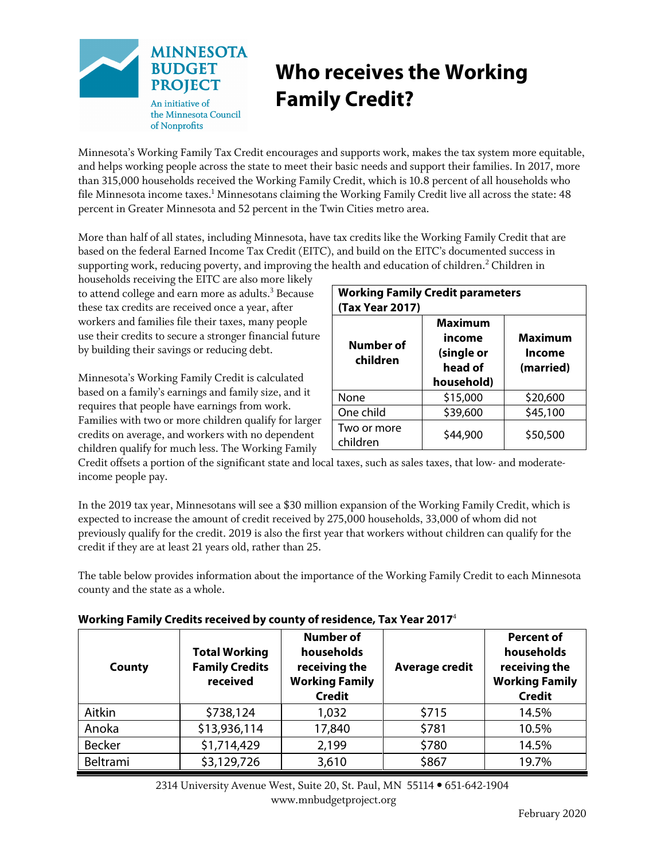

## **Who receives the Working Family Credit?**

Minnesota's Working Family Tax Credit encourages and supports work, makes the tax system more equitable, and helps working people across the state to meet their basic needs and support their families. In 2017, more than 315,000 households received the Working Family Credit, which is 10.8 percent of all households who file Minnesota income taxes. $^{\rm 1}$  Minnesotans claiming the Working Family Credit live all across the state: 48 percent in Greater Minnesota and 52 percent in the Twin Cities metro area.

More than half of all states, including Minnesota, have tax credits like the Working Family Credit that are based on the federal Earned Income Tax Credit (EITC), and build on the EITC's documented success in supporting work, reducing poverty, and improving the health and education of children.<sup>2</sup> Children in

households receiving the EITC are also more likely to attend college and earn more as adults. $3$  Because these tax credits are received once a year, after workers and families file their taxes, many people use their credits to secure a stronger financial future by building their savings or reducing debt.

Minnesota's Working Family Credit is calculated based on a family's earnings and family size, and it requires that people have earnings from work. Families with two or more children qualify for larger credits on average, and workers with no dependent children qualify for much less. The Working Family

| <b>Working Family Credit parameters</b><br>(Tax Year 2017) |                                                          |                                |  |  |
|------------------------------------------------------------|----------------------------------------------------------|--------------------------------|--|--|
| Number of<br>children                                      | Maximum<br>income<br>(single or<br>head of<br>household) | Maximum<br>Income<br>(married) |  |  |
| None                                                       | \$15,000                                                 | \$20,600                       |  |  |
| One child                                                  | \$39,600                                                 | \$45,100                       |  |  |
| Two or more<br>children                                    | \$44,900                                                 | \$50,500                       |  |  |

Credit offsets a portion of the significant state and local taxes, such as sales taxes, that low- and moderateincome people pay.

In the 2019 tax year, Minnesotans will see a \$30 million expansion of the Working Family Credit, which is expected to increase the amount of credit received by 275,000 households, 33,000 of whom did not previously qualify for the credit. 2019 is also the first year that workers without children can qualify for the credit if they are at least 21 years old, rather than 25.

The table below provides information about the importance of the Working Family Credit to each Minnesota county and the state as a whole.

| Working Family Credits received by county of residence, Tax Year 2017 $^4$ |  |
|----------------------------------------------------------------------------|--|
|----------------------------------------------------------------------------|--|

| County        | <b>Total Working</b><br><b>Family Credits</b><br>received | <b>Number of</b><br>households<br>receiving the<br><b>Working Family</b><br><b>Credit</b> | <b>Average credit</b> | <b>Percent of</b><br>households<br>receiving the<br><b>Working Family</b><br><b>Credit</b> |
|---------------|-----------------------------------------------------------|-------------------------------------------------------------------------------------------|-----------------------|--------------------------------------------------------------------------------------------|
| Aitkin        | \$738,124                                                 | 1,032                                                                                     | \$715                 | 14.5%                                                                                      |
| Anoka         | \$13,936,114                                              | 17,840                                                                                    | \$781                 | 10.5%                                                                                      |
| <b>Becker</b> | \$1,714,429                                               | 2,199                                                                                     | \$780                 | 14.5%                                                                                      |
| Beltrami      | \$3,129,726                                               | 3,610                                                                                     | \$867                 | 19.7%                                                                                      |

 2314 University Avenue West, Suite 20, St. Paul, MN 55114 • 651-642-1904 www.mnbudgetproject.org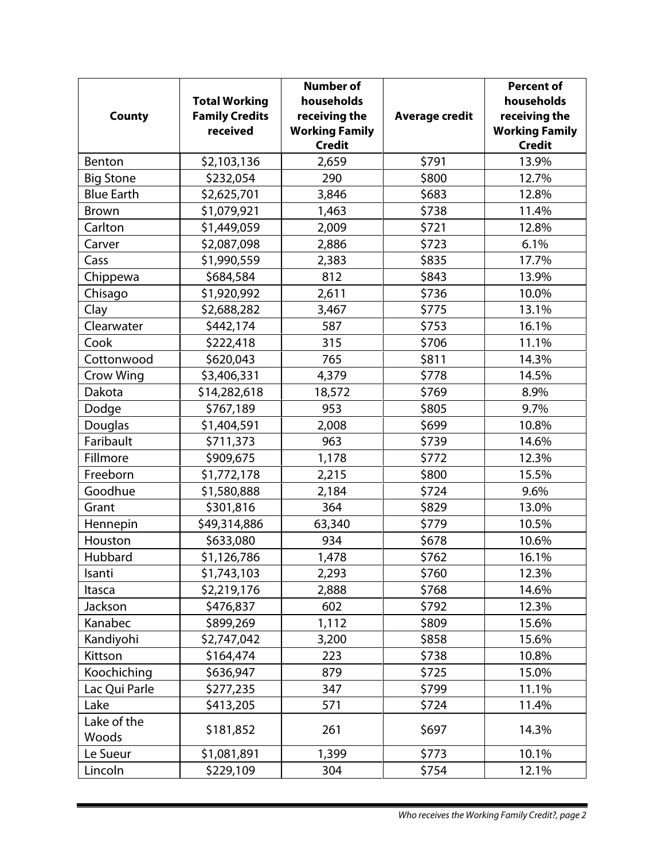|                      |                       | <b>Number of</b>      |                       | <b>Percent of</b>     |
|----------------------|-----------------------|-----------------------|-----------------------|-----------------------|
|                      | <b>Total Working</b>  | households            |                       | households            |
| <b>County</b>        | <b>Family Credits</b> | receiving the         | <b>Average credit</b> | receiving the         |
|                      | received              | <b>Working Family</b> |                       | <b>Working Family</b> |
|                      |                       | <b>Credit</b>         |                       | <b>Credit</b>         |
| Benton               | \$2,103,136           | 2,659                 | \$791                 | 13.9%                 |
| <b>Big Stone</b>     | \$232,054             | 290                   | \$800                 | 12.7%                 |
| <b>Blue Earth</b>    | \$2,625,701           | 3,846                 | \$683                 | 12.8%                 |
| Brown                | \$1,079,921           | 1,463                 | \$738                 | 11.4%                 |
| Carlton              | \$1,449,059           | 2,009                 | \$721                 | 12.8%                 |
| Carver               | \$2,087,098           | 2,886                 | \$723                 | 6.1%                  |
| Cass                 | \$1,990,559           | 2,383                 | \$835                 | 17.7%                 |
| Chippewa             | \$684,584             | 812                   | \$843                 | 13.9%                 |
| Chisago              | \$1,920,992           | 2,611                 | \$736                 | 10.0%                 |
| Clay                 | \$2,688,282           | 3,467                 | \$775                 | 13.1%                 |
| Clearwater           | \$442,174             | 587                   | \$753                 | 16.1%                 |
| Cook                 | \$222,418             | 315                   | \$706                 | 11.1%                 |
| Cottonwood           | \$620,043             | 765                   | \$811                 | 14.3%                 |
| <b>Crow Wing</b>     | \$3,406,331           | 4,379                 | \$778                 | 14.5%                 |
| Dakota               | \$14,282,618          | 18,572                | \$769                 | 8.9%                  |
| Dodge                | \$767,189             | 953                   | \$805                 | 9.7%                  |
| Douglas              | \$1,404,591           | 2,008                 | \$699                 | 10.8%                 |
| Faribault            | \$711,373             | 963                   | \$739                 | 14.6%                 |
| Fillmore             | \$909,675             | 1,178                 | \$772                 | 12.3%                 |
| Freeborn             | \$1,772,178           | 2,215                 | \$800                 | 15.5%                 |
| Goodhue              | \$1,580,888           | 2,184                 | \$724                 | 9.6%                  |
| Grant                | \$301,816             | 364                   | \$829                 | 13.0%                 |
| Hennepin             | \$49,314,886          | 63,340                | \$779                 | 10.5%                 |
| Houston              | \$633,080             | 934                   | \$678                 | 10.6%                 |
| Hubbard              | \$1,126,786           | 1,478                 | \$762                 | 16.1%                 |
| Isanti               | \$1,743,103           | 2,293                 | \$760                 | 12.3%                 |
| Itasca               | \$2,219,176           | 2,888                 | \$768                 | 14.6%                 |
| Jackson              | \$476,837             | 602                   | \$792                 | 12.3%                 |
| Kanabec              | \$899,269             | 1,112                 | \$809                 | 15.6%                 |
| Kandiyohi            | \$2,747,042           | 3,200                 | \$858                 | 15.6%                 |
| Kittson              | \$164,474             | 223                   | \$738                 | 10.8%                 |
| Koochiching          | \$636,947             | 879                   | \$725                 | 15.0%                 |
| Lac Qui Parle        | \$277,235             | 347                   | \$799                 | 11.1%                 |
| Lake                 | \$413,205             | 571                   | \$724                 | 11.4%                 |
| Lake of the<br>Woods | \$181,852             | 261                   | \$697                 | 14.3%                 |
| Le Sueur             | \$1,081,891           | 1,399                 | \$773                 | 10.1%                 |
| Lincoln              | \$229,109             | 304                   | \$754                 | 12.1%                 |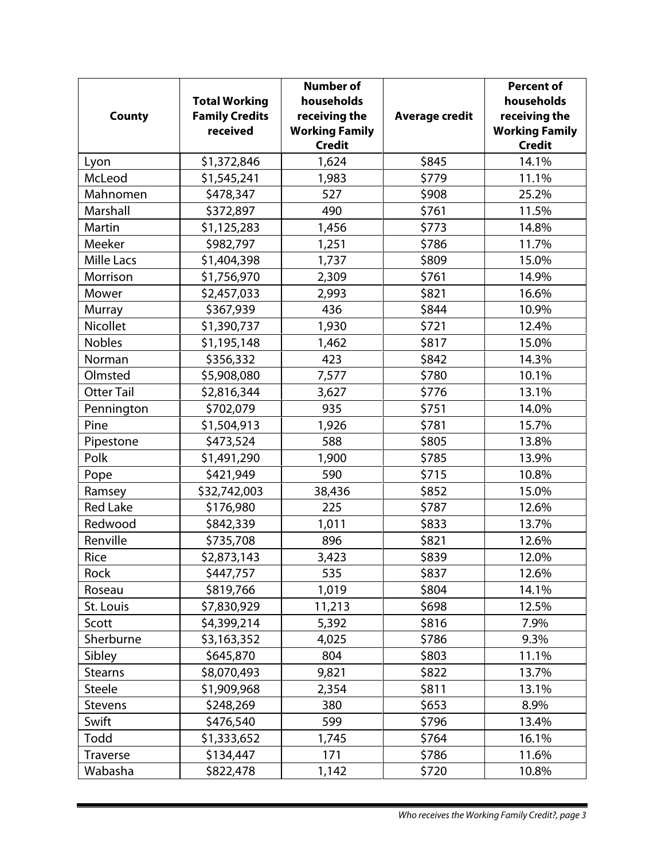|                   |                       | <b>Number of</b>      |                       | <b>Percent of</b>     |
|-------------------|-----------------------|-----------------------|-----------------------|-----------------------|
|                   | <b>Total Working</b>  | households            |                       | households            |
| <b>County</b>     | <b>Family Credits</b> | receiving the         | <b>Average credit</b> | receiving the         |
|                   | received              | <b>Working Family</b> |                       | <b>Working Family</b> |
|                   |                       | <b>Credit</b>         |                       | <b>Credit</b>         |
| Lyon              | \$1,372,846           | 1,624                 | \$845                 | 14.1%                 |
| McLeod            | \$1,545,241           | 1,983                 | \$779                 | 11.1%                 |
| Mahnomen          | \$478,347             | 527                   | \$908                 | 25.2%                 |
| Marshall          | \$372,897             | 490                   | \$761                 | 11.5%                 |
| Martin            | \$1,125,283           | 1,456                 | \$773                 | 14.8%                 |
| Meeker            | \$982,797             | 1,251                 | \$786                 | 11.7%                 |
| <b>Mille Lacs</b> | \$1,404,398           | 1,737                 | \$809                 | 15.0%                 |
| Morrison          | \$1,756,970           | 2,309                 | \$761                 | 14.9%                 |
| Mower             | \$2,457,033           | 2,993                 | \$821                 | 16.6%                 |
| <b>Murray</b>     | \$367,939             | 436                   | \$844                 | 10.9%                 |
| Nicollet          | \$1,390,737           | 1,930                 | \$721                 | 12.4%                 |
| <b>Nobles</b>     | \$1,195,148           | 1,462                 | \$817                 | 15.0%                 |
| Norman            | \$356,332             | 423                   | \$842                 | 14.3%                 |
| Olmsted           | \$5,908,080           | 7,577                 | \$780                 | 10.1%                 |
| <b>Otter Tail</b> | \$2,816,344           | 3,627                 | \$776                 | 13.1%                 |
| Pennington        | \$702,079             | 935                   | \$751                 | 14.0%                 |
| Pine              | \$1,504,913           | 1,926                 | \$781                 | 15.7%                 |
| Pipestone         | \$473,524             | 588                   | \$805                 | 13.8%                 |
| Polk              | \$1,491,290           | 1,900                 | \$785                 | 13.9%                 |
| Pope              | \$421,949             | 590                   | \$715                 | 10.8%                 |
| Ramsey            | \$32,742,003          | 38,436                | \$852                 | 15.0%                 |
| <b>Red Lake</b>   | \$176,980             | 225                   | \$787                 | 12.6%                 |
| Redwood           | \$842,339             | 1,011                 | \$833                 | 13.7%                 |
| Renville          | \$735,708             | 896                   | \$821                 | 12.6%                 |
| Rice              | \$2,873,143           | 3,423                 | \$839                 | 12.0%                 |
| Rock              | \$447,757             | 535                   | \$837                 | 12.6%                 |
| Roseau            | \$819,766             | 1,019                 | \$804                 | 14.1%                 |
| St. Louis         | \$7,830,929           | 11,213                | \$698                 | 12.5%                 |
| Scott             | \$4,399,214           | 5,392                 | \$816                 | 7.9%                  |
| Sherburne         | \$3,163,352           | 4,025                 | \$786                 | 9.3%                  |
| Sibley            | \$645,870             | 804                   | \$803                 | 11.1%                 |
| <b>Stearns</b>    | \$8,070,493           | 9,821                 | \$822                 | 13.7%                 |
| Steele            | \$1,909,968           | 2,354                 | \$811                 | 13.1%                 |
| <b>Stevens</b>    | \$248,269             | 380                   | \$653                 | 8.9%                  |
| Swift             | \$476,540             | 599                   | \$796                 | 13.4%                 |
| Todd              | \$1,333,652           | 1,745                 | \$764                 | 16.1%                 |
| <b>Traverse</b>   | \$134,447             | 171                   | \$786                 | 11.6%                 |
| Wabasha           | \$822,478             | 1,142                 | \$720                 | 10.8%                 |